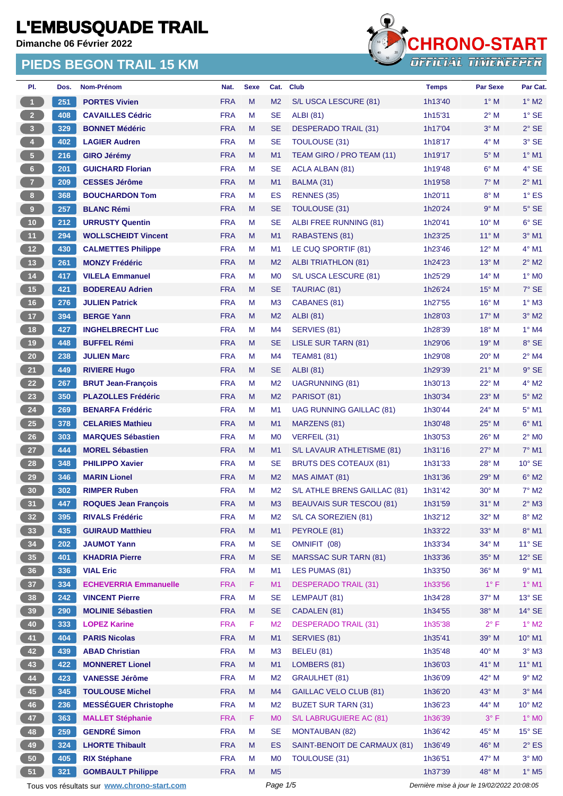**Dimanche 06 Février 2022**

#### **PIEDS BEGON TRAIL 15 KM**



| PI.                     | Dos. | Nom-Prénom                                  | Nat.       | <b>Sexe</b> | Cat.           | <b>Club</b>                     | <b>Temps</b> | <b>Par Sexe</b>                             | Par Cat.                 |
|-------------------------|------|---------------------------------------------|------------|-------------|----------------|---------------------------------|--------------|---------------------------------------------|--------------------------|
| 1                       | 251  | <b>PORTES Vivien</b>                        | <b>FRA</b> | M           | M <sub>2</sub> | S/L USCA LESCURE (81)           | 1h13'40      | $1^\circ$ M                                 | $1^\circ$ M2             |
| $2^{\circ}$             | 408  | <b>CAVAILLES Cédric</b>                     | <b>FRA</b> | M           | <b>SE</b>      | <b>ALBI</b> (81)                | 1h15'31      | $2^{\circ}$ M                               | $1^\circ$ SE             |
| $\overline{\mathbf{3}}$ | 329  | <b>BONNET Médéric</b>                       | <b>FRA</b> | M           | <b>SE</b>      | <b>DESPERADO TRAIL (31)</b>     | 1h17'04      | $3^\circ$ M                                 | $2°$ SE                  |
| $\overline{4}$          | 402  | <b>LAGIER Audren</b>                        | <b>FRA</b> | M           | <b>SE</b>      | <b>TOULOUSE (31)</b>            | 1h18'17      | $4^\circ$ M                                 | $3^\circ$ SE             |
| $5 -$                   | 216  | <b>GIRO Jérémy</b>                          | <b>FRA</b> | M           | M1             | TEAM GIRO / PRO TEAM (11)       | 1h19'17      | $5^\circ$ M                                 | $1^\circ$ M1             |
| 6 <sup>1</sup>          | 201  | <b>GUICHARD Florian</b>                     | <b>FRA</b> | M           | <b>SE</b>      | <b>ACLA ALBAN (81)</b>          | 1h19'48      | $6^\circ$ M                                 | 4° SE                    |
| $\overline{7}$          | 209  | <b>CESSES Jérôme</b>                        | <b>FRA</b> | M           | M1             | BALMA (31)                      | 1h19'58      | $7^\circ$ M                                 | $2^{\circ}$ M1           |
| 8 <sub>1</sub>          | 368  | <b>BOUCHARDON Tom</b>                       | <b>FRA</b> | M           | ES             | RENNES (35)                     | 1h20'11      | $8^\circ$ M                                 | $1^\circ$ ES             |
| $\boldsymbol{9}$        | 257  | <b>BLANC Rémi</b>                           | <b>FRA</b> | M           | <b>SE</b>      | <b>TOULOUSE (31)</b>            | 1h20'24      | 9° M                                        | $5^\circ$ SE             |
| $10$                    | 212  | <b>URRUSTY Quentin</b>                      | <b>FRA</b> | M           | <b>SE</b>      | ALBI FREE RUNNING (81)          | 1h20'41      | 10° M                                       | $6°$ SE                  |
| 11                      | 294  | <b>WOLLSCHEIDT Vincent</b>                  | <b>FRA</b> | M           | M1             | RABASTENS (81)                  | 1h23'25      | $11^{\circ}$ M                              | $3°$ M1                  |
| 12 <sup>7</sup>         | 430  | <b>CALMETTES Philippe</b>                   | <b>FRA</b> | M           | M <sub>1</sub> | LE CUQ SPORTIF (81)             | 1h23'46      | $12^{\circ}$ M                              | $4^\circ$ M1             |
| 13                      | 261  | <b>MONZY Frédéric</b>                       | <b>FRA</b> | M           | M <sub>2</sub> | ALBI TRIATHLON (81)             | 1h24'23      | $13^\circ$ M                                | $2^{\circ}$ M2           |
| 14                      | 417  | <b>VILELA Emmanuel</b>                      | <b>FRA</b> | M           | M <sub>0</sub> | S/L USCA LESCURE (81)           | 1h25'29      | $14^{\circ}$ M                              | $1^\circ$ MO             |
| $15$                    | 421  | <b>BODEREAU Adrien</b>                      | <b>FRA</b> | M           | <b>SE</b>      | TAURIAC (81)                    | 1h26'24      | $15^{\circ}$ M                              | $7°$ SE                  |
| 16                      | 276  | <b>JULIEN Patrick</b>                       | <b>FRA</b> | M           | M <sub>3</sub> | CABANES (81)                    | 1h27'55      | $16^{\circ}$ M                              | $1^\circ$ M3             |
| 17 <sup>2</sup>         | 394  | <b>BERGE Yann</b>                           | <b>FRA</b> | M           | M <sub>2</sub> | <b>ALBI</b> (81)                | 1h28'03      | $17^{\circ}$ M                              | $3^\circ$ M2             |
|                         |      |                                             | <b>FRA</b> | M           |                |                                 |              | $18^{\circ}$ M                              | $1^\circ$ M4             |
| 18                      | 427  | <b>INGHELBRECHT Luc</b>                     |            |             | M4             | SERVIES (81)                    | 1h28'39      |                                             |                          |
| 19                      | 448  | <b>BUFFEL Rémi</b>                          | <b>FRA</b> | M           | <b>SE</b>      | LISLE SUR TARN (81)             | 1h29'06      | 19° M                                       | 8° SE                    |
| $20\degree$             | 238  | <b>JULIEN Marc</b>                          | <b>FRA</b> | M           | M4             | <b>TEAM81 (81)</b>              | 1h29'08      | $20^{\circ}$ M                              | $2^{\circ}$ M4           |
| 21                      | 449  | <b>RIVIERE Hugo</b>                         | <b>FRA</b> | M           | <b>SE</b>      | <b>ALBI</b> (81)                | 1h29'39      | $21^{\circ}$ M                              | $9°$ SE                  |
| 22                      | 267  | <b>BRUT Jean-François</b>                   | <b>FRA</b> | M           | M <sub>2</sub> | UAGRUNNING (81)                 | 1h30'13      | $22^{\circ}$ M                              | $4^\circ$ M2             |
| 23                      | 350  | <b>PLAZOLLES Frédéric</b>                   | <b>FRA</b> | M           | M <sub>2</sub> | PARISOT (81)                    | 1h30'34      | $23^\circ$ M                                | $5^\circ$ M2             |
| 24                      | 269  | <b>BENARFA Frédéric</b>                     | <b>FRA</b> | M           | M <sub>1</sub> | <b>UAG RUNNING GAILLAC (81)</b> | 1h30'44      | 24° M                                       | $5^\circ$ M1             |
| 25                      | 378  | <b>CELARIES Mathieu</b>                     | <b>FRA</b> | M           | M1             | MARZENS (81)                    | 1h30'48      | $25^{\circ}$ M                              | $6^{\circ}$ M1           |
| $26\phantom{.}$         | 303  | <b>MARQUES Sébastien</b>                    | <b>FRA</b> | M           | M <sub>0</sub> | VERFEIL (31)                    | 1h30'53      | $26^{\circ}$ M                              | $2^{\circ}$ MO           |
| 27 <sub>2</sub>         | 444  | <b>MOREL Sébastien</b>                      | <b>FRA</b> | M           | M1             | S/L LAVAUR ATHLETISME (81)      | 1h31'16      | $27^\circ$ M                                | $7°$ M1                  |
| 28                      | 348  | <b>PHILIPPO Xavier</b>                      | <b>FRA</b> | M           | <b>SE</b>      | <b>BRUTS DES COTEAUX (81)</b>   | 1h31'33      | $28^{\circ}$ M                              | $10^{\circ}$ SE          |
| 29                      | 346  | <b>MARIN Lionel</b>                         | <b>FRA</b> | M           | M <sub>2</sub> | MAS AIMAT (81)                  | 1h31'36      | $29^\circ$ M                                | $6^\circ$ M2             |
| 30                      | 302  | <b>RIMPER Ruben</b>                         | <b>FRA</b> | M           | M <sub>2</sub> | S/L ATHLE BRENS GAILLAC (81)    | 1h31'42      | $30^\circ$ M                                | $7^\circ$ M2             |
| 31                      | 447  | <b>ROQUES Jean François</b>                 | <b>FRA</b> | M           | M <sub>3</sub> | <b>BEAUVAIS SUR TESCOU (81)</b> | 1h31'59      | $31^\circ$ M                                | $2^{\circ}$ M3           |
| 32 <sub>2</sub>         | 395  | <b>RIVALS Frédéric</b>                      | <b>FRA</b> | M           | M <sub>2</sub> | S/L CA SOREZIEN (81)            | 1h32'12      | 32° M                                       | $8^\circ$ M2             |
| 33                      | 435  | <b>GUIRAUD Matthieu</b>                     | <b>FRA</b> | M           | M1             | PEYROLE (81)                    | 1h33'22      | $33^\circ$ M                                | $8^\circ$ M1             |
| 34                      | 202  | <b>JAUMOT Yann</b>                          | <b>FRA</b> | M           | <b>SE</b>      | OMNIFIT (08)                    | 1h33'34      | 34° M                                       | $11^\circ$ SE            |
| 35 <sub>5</sub>         | 401  | <b>KHADRIA Pierre</b>                       | <b>FRA</b> | M           | <b>SE</b>      | <b>MARSSAC SUR TARN (81)</b>    | 1h33'36      | 35° M                                       | $12^{\circ}$ SE          |
| 36                      | 336  | <b>VIAL Eric</b>                            | <b>FRA</b> | M           | M1             | LES PUMAS (81)                  | 1h33'50      | 36° M                                       | $9°$ M1                  |
| 37 <sup>°</sup>         | 334  | <b>ECHEVERRIA Emmanuelle</b>                | <b>FRA</b> | F           | M1             | <b>DESPERADO TRAIL (31)</b>     | 1h33'56      | $1^{\circ}$ F                               | $1^\circ$ M1             |
| 38                      | 242  | <b>VINCENT Pierre</b>                       | <b>FRA</b> | M           | <b>SE</b>      | LEMPAUT (81)                    | 1h34'28      | 37° M                                       | $13^\circ$ SE            |
| 39                      | 290  | <b>MOLINIE Sébastien</b>                    | <b>FRA</b> | M           | <b>SE</b>      | CADALEN (81)                    | 1h34'55      | 38° M                                       | $14^{\circ}$ SE          |
| 40                      | 333  | <b>LOPEZ Karine</b>                         | <b>FRA</b> | F           | M <sub>2</sub> | <b>DESPERADO TRAIL (31)</b>     | 1h35'38      | $2^{\circ}$ F                               | $1^\circ$ M2             |
| 41                      | 404  | <b>PARIS Nicolas</b>                        | <b>FRA</b> | M           | M1             | SERVIES (81)                    | 1h35'41      | 39° M                                       | $10^{\circ}$ M1          |
| 42                      | 439  | <b>ABAD Christian</b>                       | <b>FRA</b> | M           | M <sub>3</sub> | <b>BELEU (81)</b>               | 1h35'48      | $40^{\circ}$ M                              | $3°$ M3                  |
| 43                      | 422  | <b>MONNERET Lionel</b>                      | <b>FRA</b> | M           | M1             | LOMBERS (81)                    | 1h36'03      | 41° M                                       | $11^{\circ}$ M1          |
| 44                      | 423  | <b>VANESSE Jérôme</b>                       | <b>FRA</b> | M           | M <sub>2</sub> | <b>GRAULHET (81)</b>            | 1h36'09      | 42° M                                       | $9°$ M2                  |
| $\bf 45$                | 345  | <b>TOULOUSE Michel</b>                      | <b>FRA</b> | M           | M4             | <b>GAILLAC VELO CLUB (81)</b>   | 1h36'20      | 43° M                                       | $3°$ M4                  |
| 46                      | 236  | <b>MESSÉGUER Christophe</b>                 | <b>FRA</b> | M           | M <sub>2</sub> | <b>BUZET SUR TARN (31)</b>      | 1h36'23      | 44° M                                       | $10^{\circ}$ M2          |
| 47                      | 363  | <b>MALLET Stéphanie</b>                     | <b>FRA</b> | F           | M <sub>0</sub> | S/L LABRUGUIERE AC (81)         | 1h36'39      | $3^{\circ}$ F                               | $1^\circ$ MO             |
| 48                      | 259  | <b>GENDRÉ Simon</b>                         | <b>FRA</b> | M           | <b>SE</b>      | <b>MONTAUBAN (82)</b>           | 1h36'42      | 45° M                                       | $15^\circ$ SE            |
| 49                      | 324  | <b>LHORTE Thibault</b>                      | <b>FRA</b> | M           | ES             | SAINT-BENOIT DE CARMAUX (81)    | 1h36'49      | 46° M                                       | $2^{\circ}$ ES           |
| 50                      | 405  | <b>RIX Stéphane</b>                         | <b>FRA</b> | M           | M <sub>0</sub> | <b>TOULOUSE (31)</b>            | 1h36'51      | 47° M                                       | $3^\circ$ MO             |
| 51                      | 321  | <b>GOMBAULT Philippe</b>                    | <b>FRA</b> | M           | M <sub>5</sub> |                                 | 1h37'39      | 48° M                                       | $1^\circ$ M <sub>5</sub> |
|                         |      | Tous vos résultats sur www.chrono-start.com |            |             | Page 1/5       |                                 |              | Dernière mise à jour le 19/02/2022 20:08:05 |                          |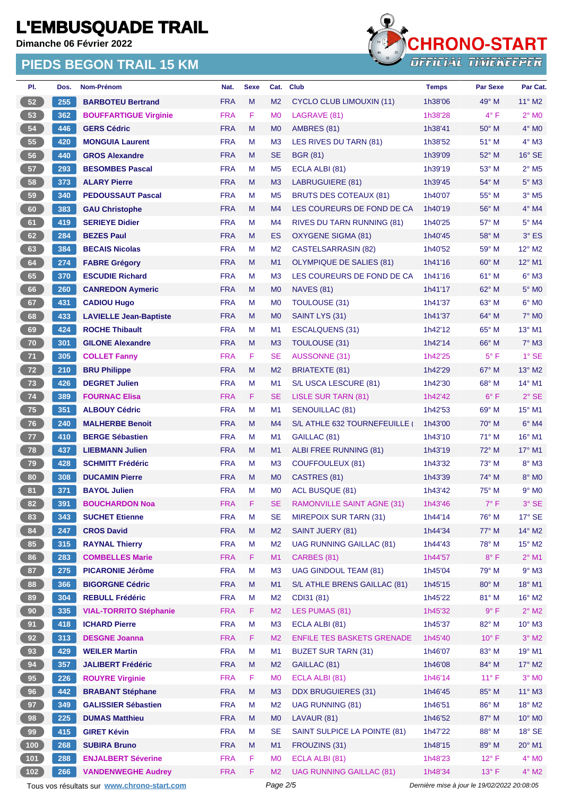**Dimanche 06 Février 2022**

#### **PIEDS BEGON TRAIL 15 KM**



| PI.             | Dos. | Nom-Prénom                    | Nat.       | <b>Sexe</b> | Cat.           | <b>Club</b>                       | <b>Temps</b> | <b>Par Sexe</b> | Par Cat.                   |
|-----------------|------|-------------------------------|------------|-------------|----------------|-----------------------------------|--------------|-----------------|----------------------------|
| 52              | 255  | <b>BARBOTEU Bertrand</b>      | <b>FRA</b> | M           | M <sub>2</sub> | <b>CYCLO CLUB LIMOUXIN (11)</b>   | 1h38'06      | $49°$ M         | $11^{\circ}$ M2            |
| 53              | 362  | <b>BOUFFARTIGUE Virginie</b>  | <b>FRA</b> | F           | M <sub>0</sub> | LAGRAVE (81)                      | 1h38'28      | $4^{\circ}$ F   | $2^{\circ}$ M <sub>0</sub> |
| 54              | 446  | <b>GERS Cédric</b>            | <b>FRA</b> | M           | M <sub>0</sub> | AMBRES (81)                       | 1h38'41      | $50^\circ$ M    | $4^\circ$ MO               |
| 55              | 420  | <b>MONGUIA Laurent</b>        | <b>FRA</b> | М           | M <sub>3</sub> | LES RIVES DU TARN (81)            | 1h38'52      | $51^\circ$ M    | 4° M3                      |
| 56              | 440  | <b>GROS Alexandre</b>         | <b>FRA</b> | M           | <b>SE</b>      | <b>BGR (81)</b>                   | 1h39'09      | $52^{\circ}$ M  | $16°$ SE                   |
| 57              | 293  | <b>BESOMBES Pascal</b>        | <b>FRA</b> | M           | M <sub>5</sub> | ECLA ALBI (81)                    | 1h39'19      | $53^\circ$ M    | $2°$ M <sub>5</sub>        |
| 58              | 373  | <b>ALARY Pierre</b>           | <b>FRA</b> | M           | M <sub>3</sub> | <b>LABRUGUIERE (81)</b>           | 1h39'45      | 54° M           | $5^\circ$ M3               |
| 59              | 340  | <b>PEDOUSSAUT Pascal</b>      | <b>FRA</b> | M           | M <sub>5</sub> | <b>BRUTS DES COTEAUX (81)</b>     | 1h40'07      | 55° M           | $3°$ M <sub>5</sub>        |
| 60              | 383  | <b>GAU Christophe</b>         | <b>FRA</b> | M           | M4             | LES COUREURS DE FOND DE CA        | 1h40'19      | $56^{\circ}$ M  | $4^\circ$ M4               |
| 61              | 419  | <b>SERIEYE Didier</b>         | <b>FRA</b> | М           | M4             | <b>RIVES DU TARN RUNNING (81)</b> | 1h40'25      | $57^\circ$ M    | 5° M4                      |
| 62              | 284  | <b>BEZES Paul</b>             | <b>FRA</b> | M           | ES             | <b>OXYGENE SIGMA (81)</b>         | 1h40'45      | 58° M           | 3° ES                      |
| 63              | 384  | <b>BECAIS Nicolas</b>         | <b>FRA</b> | M           | M <sub>2</sub> | CASTELSARRASIN (82)               | 1h40'52      | 59° M           | 12° M2                     |
| 64              | 274  | <b>FABRE Grégory</b>          | <b>FRA</b> | M           | M1             | <b>OLYMPIQUE DE SALIES (81)</b>   | 1h41'16      | $60^\circ$ M    | $12^{\circ}$ M1            |
| 65              | 370  | <b>ESCUDIE Richard</b>        | <b>FRA</b> | М           | M <sub>3</sub> | LES COUREURS DE FOND DE CA        | 1h41'16      | 61° M           | $6^\circ$ M3               |
| 66              | 260  | <b>CANREDON Aymeric</b>       | <b>FRA</b> | M           | M <sub>0</sub> | <b>NAVES (81)</b>                 | 1h41'17      | 62° M           | $5^\circ$ MO               |
| 67              | 431  | <b>CADIOU Hugo</b>            | <b>FRA</b> | M           | M <sub>0</sub> | <b>TOULOUSE (31)</b>              | 1h41'37      | 63° M           | $6°$ MO                    |
| 68              | 433  | <b>LAVIELLE Jean-Baptiste</b> | <b>FRA</b> | M           | M <sub>0</sub> | SAINT LYS (31)                    | 1h41'37      | $64^{\circ}$ M  | <b>7° MO</b>               |
| 69              | 424  | <b>ROCHE Thibault</b>         | <b>FRA</b> | М           | M <sub>1</sub> | <b>ESCALQUENS (31)</b>            | 1h42'12      | 65° M           | 13° M1                     |
| 70              | 301  | <b>GILONE Alexandre</b>       | <b>FRA</b> | M           | M <sub>3</sub> | <b>TOULOUSE (31)</b>              | 1h42'14      | $66^{\circ}$ M  | $7^\circ$ M3               |
| 71              | 305  | <b>COLLET Fanny</b>           | <b>FRA</b> | F           | <b>SE</b>      | <b>AUSSONNE (31)</b>              | 1h42'25      | $5^{\circ}$ F   | $1^\circ$ SE               |
| 72              | 210  | <b>BRU Philippe</b>           | <b>FRA</b> | M           | M <sub>2</sub> | <b>BRIATEXTE (81)</b>             | 1h42'29      | $67^\circ$ M    | 13° M2                     |
| 73              | 426  | <b>DEGRET Julien</b>          | <b>FRA</b> | M           | M1             | S/L USCA LESCURE (81)             | 1h42'30      | $68^{\circ}$ M  | 14° M1                     |
| 74              | 389  | <b>FOURNAC Elisa</b>          | <b>FRA</b> | F.          | <b>SE</b>      | LISLE SUR TARN (81)               | 1h42'42      | $6^{\circ}$ F   | $2°$ SE                    |
| 75              | 351  | <b>ALBOUY Cédric</b>          | <b>FRA</b> | M           | M <sub>1</sub> | <b>SENOUILLAC (81)</b>            | 1h42'53      | $69^\circ$ M    | 15° M1                     |
| 76              | 240  | <b>MALHERBE Benoit</b>        | <b>FRA</b> | M           | M4             | S/L ATHLE 632 TOURNEFEUILLE       | 1h43'00      | $70^\circ$ M    | $6°$ M4                    |
| 77              | 410  | <b>BERGE Sébastien</b>        | <b>FRA</b> | М           | M <sub>1</sub> | GAILLAC (81)                      | 1h43'10      | $71^\circ$ M    | $16^{\circ}$ M1            |
| 78              | 437  | <b>LIEBMANN Julien</b>        | <b>FRA</b> | M           | M <sub>1</sub> | ALBI FREE RUNNING (81)            | 1h43'19      | $72^{\circ}$ M  | 17° M1                     |
| 79              | 428  | <b>SCHMITT Frédéric</b>       | <b>FRA</b> | М           | M <sub>3</sub> | <b>COUFFOULEUX (81)</b>           | 1h43'32      | $73^\circ$ M    | 8° M3                      |
| 80              | 308  | <b>DUCAMIN Pierre</b>         | <b>FRA</b> | M           | M <sub>0</sub> | CASTRES (81)                      | 1h43'39      | 74° M           | 8° MO                      |
| 81              | 371  | <b>BAYOL Julien</b>           | <b>FRA</b> | М           | M <sub>0</sub> | ACL BUSQUE (81)                   | 1h43'42      | 75° M           | $9°$ MO                    |
| 82              | 391  | <b>BOUCHARDON Noa</b>         | <b>FRA</b> | F           | SE             | <b>RAMONVILLE SAINT AGNE (31)</b> | 1h43'46      | $7^\circ$ F     | 3° SE                      |
| 83              | 343  | <b>SUCHET Etienne</b>         | <b>FRA</b> | М           | SE             | <b>MIREPOIX SUR TARN (31)</b>     | 1h44'14      | 76° M           | $17^\circ$ SE              |
| 84              | 247  | <b>CROS David</b>             | <b>FRA</b> | M           | M <sub>2</sub> | <b>SAINT JUERY (81)</b>           | 1h44'34      | 77° M           | $14^{\circ}$ M2            |
| 85              | 315  | <b>RAYNAL Thierry</b>         | <b>FRA</b> | Μ           | M <sub>2</sub> | <b>UAG RUNNING GAILLAC (81)</b>   | 1h44'43      | 78° M           | $15^{\circ}$ M2            |
| 86              | 283  | <b>COMBELLES Marie</b>        | <b>FRA</b> | F.          | M1             | CARBES (81)                       | 1h44'57      | $8^{\circ}$ F   | $2^{\circ}$ M1             |
| 87              | 275  | <b>PICARONIE Jérôme</b>       | <b>FRA</b> | M           | M <sub>3</sub> | <b>UAG GINDOUL TEAM (81)</b>      | 1h45'04      | 79° M           | $9^\circ$ M3               |
| 88              | 366  | <b>BIGORGNE Cédric</b>        | <b>FRA</b> | M           | M1             | S/L ATHLE BRENS GAILLAC (81)      | 1h45'15      | 80° M           | $18^{\circ}$ M1            |
| 89              | 304  | <b>REBULL Frédéric</b>        | <b>FRA</b> | M           | M <sub>2</sub> | CDI31 (81)                        | 1h45'22      | 81° M           | $16^{\circ}$ M2            |
| 90 <sub>o</sub> | 335  | <b>VIAL-TORRITO Stéphanie</b> | <b>FRA</b> | F.          | M <sub>2</sub> | LES PUMAS (81)                    | 1h45'32      | 9° F            | $2^\circ$ M2               |
| 91              | 418  | <b>ICHARD Pierre</b>          | <b>FRA</b> | M           | M <sub>3</sub> | ECLA ALBI (81)                    | 1h45'37      | 82° M           | $10^{\circ}$ M3            |
| 92              | 313  | <b>DESGNE Joanna</b>          | <b>FRA</b> | F.          | M <sub>2</sub> | <b>ENFILE TES BASKETS GRENADE</b> | 1h45'40      | $10^{\circ}$ F  | $3^\circ$ M2               |
| 93              | 429  | <b>WEILER Martin</b>          | <b>FRA</b> | М           | M1             | <b>BUZET SUR TARN (31)</b>        | 1h46'07      | 83° M           | $19°$ M1                   |
| 94              | 357  | <b>JALIBERT Frédéric</b>      | <b>FRA</b> | M           | M <sub>2</sub> | GAILLAC (81)                      | 1h46'08      | 84° M           | $17^\circ$ M2              |
| 95              | 226  | <b>ROUYRE Virginie</b>        | <b>FRA</b> | F           | M <sub>0</sub> | ECLA ALBI (81)                    | 1h46'14      | $11^{\circ}$ F  | $3^\circ$ MO               |
| 96              | 442  | <b>BRABANT Stéphane</b>       | <b>FRA</b> | M           | M <sub>3</sub> | <b>DDX BRUGUIERES (31)</b>        | 1h46'45      | 85° M           | $11^{\circ}$ M3            |
| 97              | 349  | <b>GALISSIER Sébastien</b>    | <b>FRA</b> | М           | M <sub>2</sub> | <b>UAG RUNNING (81)</b>           | 1h46'51      | 86° M           | $18^\circ$ M2              |
| 98              | 225  | <b>DUMAS Matthieu</b>         | <b>FRA</b> | M           | M <sub>0</sub> | LAVAUR (81)                       | 1h46'52      | 87° M           | 10° MO                     |
| 99              | 415  | <b>GIRET Kévin</b>            | <b>FRA</b> | Μ           | <b>SE</b>      | SAINT SULPICE LA POINTE (81)      | 1h47'22      | 88° M           | $18^\circ$ SE              |
| (100)           | 268  | <b>SUBIRA Bruno</b>           | <b>FRA</b> | Μ           | M1             | FROUZINS (31)                     | 1h48'15      | 89° M           | $20^\circ$ M1              |
|                 | 288  | <b>ENJALBERT Séverine</b>     | <b>FRA</b> | F           | M <sub>0</sub> | ECLA ALBI (81)                    | 1h48'23      | $12^{\circ}$ F  | $4^\circ$ MO               |
| (102)           | 266  | <b>VANDENWEGHE Audrey</b>     | <b>FRA</b> | F.          | M <sub>2</sub> | <b>UAG RUNNING GAILLAC (81)</b>   | 1h48'34      | $13^{\circ}$ F  | $4^\circ$ M2               |
|                 |      |                               |            |             |                |                                   |              |                 |                            |

Tous vos résultats sur **[www.chrono-start.com](https://www.chrono-start.com/)** Page 2/5 Page 2/5 Dernière mise à jour le 19/02/2022 20:08:05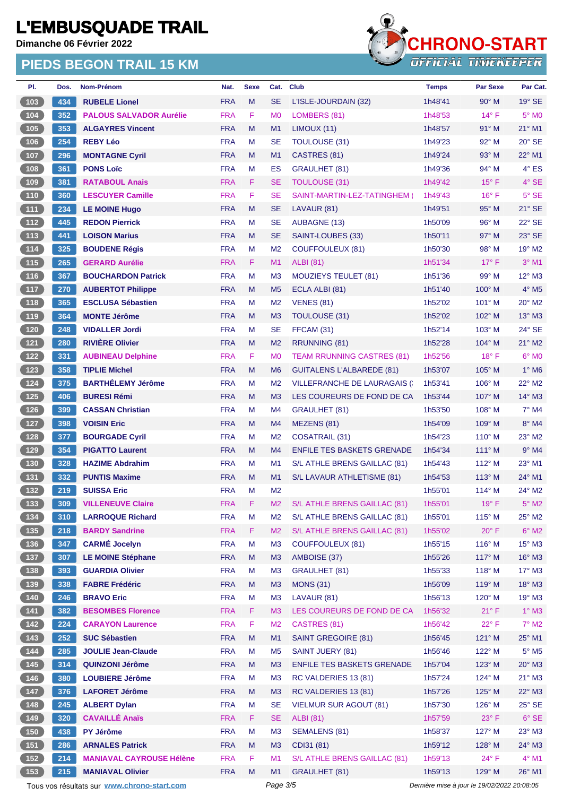**Dimanche 06 Février 2022**

### **PIEDS BEGON TRAIL 15 KM**



| PI.                                                         | Dos.       | Nom-Prénom                                         | Nat.       | <b>Sexe</b> | Cat.           | <b>Club</b>                          | <b>Temps</b>                                | <b>Par Sexe</b> | Par Cat.        |
|-------------------------------------------------------------|------------|----------------------------------------------------|------------|-------------|----------------|--------------------------------------|---------------------------------------------|-----------------|-----------------|
| 103                                                         | 434        | <b>RUBELE Lionel</b>                               | <b>FRA</b> | M           | <b>SE</b>      | L'ISLE-JOURDAIN (32)                 | 1h48'41                                     | $90^\circ$ M    | $19^\circ$ SE   |
| $104$                                                       | 352        | <b>PALOUS SALVADOR Aurélie</b>                     | <b>FRA</b> | F           | M <sub>0</sub> | LOMBERS (81)                         | 1h48'53                                     | $14^{\circ}$ F  | $5^\circ$ MO    |
| 105                                                         | 353        | <b>ALGAYRES Vincent</b>                            | <b>FRA</b> | M           | M1             | LIMOUX (11)                          | 1h48'57                                     | $91^\circ$ M    | $21^{\circ}$ M1 |
| 106                                                         | 254        | <b>REBY Léo</b>                                    | <b>FRA</b> | M           | <b>SE</b>      | <b>TOULOUSE (31)</b>                 | 1h49'23                                     | 92° M           | $20^\circ$ SE   |
| 107                                                         | 296        | <b>MONTAGNE Cyril</b>                              | <b>FRA</b> | M           | M <sub>1</sub> | CASTRES (81)                         | 1h49'24                                     | $93^\circ$ M    | 22° M1          |
| 108                                                         | 361        | <b>PONS Loïc</b>                                   | <b>FRA</b> | M           | <b>ES</b>      | <b>GRAULHET (81)</b>                 | 1h49'36                                     | 94° M           | 4° ES           |
| 109                                                         | 381        | <b>RATABOUL Anais</b>                              | <b>FRA</b> | F           | <b>SE</b>      | <b>TOULOUSE (31)</b>                 | 1h49'42                                     | $15^{\circ}$ F  | 4° SE           |
| $\boxed{110}$                                               | 360        | <b>LESCUYER Camille</b>                            | <b>FRA</b> | F           | <b>SE</b>      | SAINT-MARTIN-LEZ-TATINGHEM (         | 1h49'43                                     | $16^{\circ}$ F  | $5^\circ$ SE    |
| $\boxed{111}$                                               | 234        | <b>LE MOINE Hugo</b>                               | <b>FRA</b> | M           | <b>SE</b>      | LAVAUR (81)                          | 1h49'51                                     | 95° M           | $21^\circ$ SE   |
| $\boxed{112}$                                               | 445        | <b>REDON Pierrick</b>                              | <b>FRA</b> | M           | <b>SE</b>      | <b>AUBAGNE (13)</b>                  | 1h50'09                                     | $96^{\circ}$ M  | 22° SE          |
| (113)                                                       | 441        | <b>LOISON Marius</b>                               | <b>FRA</b> | M           | <b>SE</b>      | SAINT-LOUBES (33)                    | 1h50'11                                     | 97° M           | 23° SE          |
| 114                                                         | 325        | <b>BOUDENE Régis</b>                               | <b>FRA</b> | M           | M <sub>2</sub> | <b>COUFFOULEUX (81)</b>              | 1h50'30                                     | $98^\circ$ M    | 19° M2          |
| $\boxed{115}$                                               | 265        | <b>GERARD Aurélie</b>                              | <b>FRA</b> | F           | M1             | <b>ALBI</b> (81)                     | 1h51'34                                     | $17^\circ$ F    | $3°$ M1         |
| $116$                                                       | 367        | <b>BOUCHARDON Patrick</b>                          | <b>FRA</b> | M           | M <sub>3</sub> | <b>MOUZIEYS TEULET (81)</b>          | 1h51'36                                     | $99^\circ$ M    | $12^{\circ}$ M3 |
| (117)                                                       | 270        | <b>AUBERTOT Philippe</b>                           | <b>FRA</b> | M           | M <sub>5</sub> | ECLA ALBI (81)                       | 1h51'40                                     | 100° M          | 4° M5           |
| 118                                                         | 365        | <b>ESCLUSA Sébastien</b>                           | <b>FRA</b> | M           | M <sub>2</sub> | <b>VENES (81)</b>                    | 1h52'02                                     | $101^\circ$ M   | 20° M2          |
| 119                                                         | 364        | <b>MONTE Jérôme</b>                                | <b>FRA</b> | M           | M <sub>3</sub> | <b>TOULOUSE (31)</b>                 | 1h52'02                                     | $102^\circ$ M   | 13° M3          |
| $120$                                                       | 248        | <b>VIDALLER Jordi</b>                              | <b>FRA</b> | M           | <b>SE</b>      | FFCAM (31)                           | 1h52'14                                     | 103° M          | $24^\circ$ SE   |
| $\begin{bmatrix} 121 \end{bmatrix}$                         | 280        | <b>RIVIÈRE Olivier</b>                             | <b>FRA</b> | M           | M <sub>2</sub> | RRUNNING (81)                        | 1h52'28                                     | 104° M          | $21^{\circ}$ M2 |
| 122                                                         | 331        | <b>AUBINEAU Delphine</b>                           | <b>FRA</b> | F           | M <sub>0</sub> | <b>TEAM RRUNNING CASTRES (81)</b>    | 1h52'56                                     | $18^{\circ}$ F  | $6^\circ$ MO    |
| $123$                                                       | 358        | <b>TIPLIE Michel</b>                               | <b>FRA</b> | M           | M <sub>6</sub> | <b>GUITALENS L'ALBAREDE (81)</b>     | 1h53'07                                     | $105^\circ$ M   | $1^\circ$ M6    |
| $124$                                                       | 375        | <b>BARTHÉLEMY Jérôme</b>                           | <b>FRA</b> | M           | M <sub>2</sub> | <b>VILLEFRANCHE DE LAURAGAIS (:</b>  | 1h53'41                                     | $106^\circ$ M   | $22^\circ$ M2   |
| 125                                                         | 406        | <b>BURESI Rémi</b>                                 | <b>FRA</b> | M           | M <sub>3</sub> | LES COUREURS DE FOND DE CA           | 1h53'44                                     | $107^\circ$ M   | 14° M3          |
| 126                                                         | 399        | <b>CASSAN Christian</b>                            | <b>FRA</b> | M           | M4             | <b>GRAULHET (81)</b>                 | 1h53'50                                     | 108° M          | $7°$ M4         |
| 127                                                         | 398        | <b>VOISIN Eric</b>                                 | <b>FRA</b> | M           | M4             | MEZENS (81)                          | 1h54'09                                     | $109^\circ$ M   | 8° M4           |
| 128                                                         | 377        | <b>BOURGADE Cyril</b>                              | <b>FRA</b> | M           | M <sub>2</sub> | <b>COSATRAIL (31)</b>                | 1h54'23                                     | $110^{\circ}$ M | 23° M2          |
| 129                                                         | 354        | <b>PIGATTO Laurent</b>                             | <b>FRA</b> | M           | M4             | <b>ENFILE TES BASKETS GRENADE</b>    | 1h54'34                                     | $111^\circ$ M   | $9°$ M4         |
| $130$                                                       | 328        | <b>HAZIME Abdrahim</b>                             | <b>FRA</b> | M           | M <sub>1</sub> | S/L ATHLE BRENS GAILLAC (81)         | 1h54'43                                     | $112^{\circ}$ M | 23° M1          |
| 131                                                         | 332        | <b>PUNTIS Maxime</b>                               | <b>FRA</b> | M           | M1             | S/L LAVAUR ATHLETISME (81)           | 1h54'53                                     | $113^\circ$ M   | 24° M1          |
| $132$                                                       | 219        | <b>SUISSA Eric</b>                                 | <b>FRA</b> | M           | M <sub>2</sub> |                                      | 1h55'01                                     | $114^\circ$ M   | $24^{\circ}$ M2 |
| 133                                                         | 309        | <b>VILLENEUVE Claire</b>                           | <b>FRA</b> | F           | M <sub>2</sub> | S/L ATHLE BRENS GAILLAC (81)         | 1h55'01                                     | $19^\circ$ F    | $5^\circ$ M2    |
| $134$                                                       | 310        | <b>LARROQUE Richard</b>                            | <b>FRA</b> | M           | M <sub>2</sub> | S/L ATHLE BRENS GAILLAC (81)         | 1h55'01                                     | $115^\circ$ M   | 25° M2          |
| 135                                                         | 218        | <b>BARDY Sandrine</b>                              | <b>FRA</b> | F           | M <sub>2</sub> | S/L ATHLE BRENS GAILLAC (81)         | 1h55'02                                     | $20^{\circ}$ F  | $6^\circ$ M2    |
|                                                             | 347        | <b>CARMÉ Jocelyn</b>                               | <b>FRA</b> | M           | M <sub>3</sub> | <b>COUFFOULEUX (81)</b>              | 1h55'15                                     | $116^\circ$ M   | $15^{\circ}$ M3 |
| 136<br>$137$                                                |            |                                                    | <b>FRA</b> | M           | M3             |                                      | 1h55'26                                     | 117° M          | $16^\circ$ M3   |
|                                                             | 307        | <b>LE MOINE Stéphane</b><br><b>GUARDIA Olivier</b> | <b>FRA</b> | M           | M <sub>3</sub> | AMBOISE (37)<br><b>GRAULHET (81)</b> | 1h55'33                                     | $118^\circ$ M   | $17^\circ$ M3   |
| $\begin{array}{c} \n \textbf{138}\n \end{array}$<br>(139)   | 393<br>338 | <b>FABRE Frédéric</b>                              | <b>FRA</b> | M           | M3             |                                      | 1h56'09                                     | 119° M          | $18^\circ$ M3   |
|                                                             |            | <b>BRAVO Eric</b>                                  |            |             |                | <b>MONS (31)</b>                     |                                             |                 |                 |
| 140                                                         | 246        | <b>BESOMBES Florence</b>                           | <b>FRA</b> | M           | M <sub>3</sub> | LAVAUR (81)                          | 1h56'13                                     | $120^\circ$ M   | 19° M3          |
| $\begin{array}{c} \begin{array}{c} \end{array} \end{array}$ | 382        |                                                    | <b>FRA</b> | F           | M <sub>3</sub> | LES COUREURS DE FOND DE CA           | 1h56'32                                     | $21^{\circ}$ F  | $1^\circ$ M3    |
| $142$                                                       | 224        | <b>CARAYON Laurence</b>                            | <b>FRA</b> | F           | M <sub>2</sub> | CASTRES (81)                         | 1h56'42                                     | $22^{\circ}$ F  | $7^\circ$ M2    |
| $143$                                                       | 252        | <b>SUC Sébastien</b>                               | <b>FRA</b> | M           | M1             | <b>SAINT GREGOIRE (81)</b>           | 1h56'45                                     | 121° M          | 25° M1          |
| 144                                                         | 285        | <b>JOULIE Jean-Claude</b>                          | <b>FRA</b> | M           | M <sub>5</sub> | SAINT JUERY (81)                     | 1h56'46                                     | 122° M          | $5^\circ$ M5    |
| $145$                                                       | 314        | <b>QUINZONI Jérôme</b>                             | <b>FRA</b> | M           | M3             | <b>ENFILE TES BASKETS GRENADE</b>    | 1h57'04                                     | 123° M          | $20^\circ$ M3   |
| $146$                                                       | 380        | <b>LOUBIERE Jérôme</b>                             | <b>FRA</b> | M           | M <sub>3</sub> | RC VALDERIES 13 (81)                 | 1h57'24                                     | 124° M          | $21^\circ$ M3   |
| 147                                                         | 376        | <b>LAFORET Jérôme</b>                              | <b>FRA</b> | M           | M <sub>3</sub> | RC VALDERIES 13 (81)                 | 1h57'26                                     | 125° M          | $22^{\circ}$ M3 |
| 148                                                         | 245        | <b>ALBERT Dylan</b>                                | <b>FRA</b> | M           | <b>SE</b>      | <b>VIELMUR SUR AGOUT (81)</b>        | 1h57'30                                     | $126^\circ$ M   | $25^\circ$ SE   |
| (149)                                                       | 320        | <b>CAVAILLÉ Anaïs</b>                              | <b>FRA</b> | F           | <b>SE</b>      | <b>ALBI</b> (81)                     | 1h57'59                                     | $23^{\circ}$ F  | $6^{\circ}$ SE  |
| $150$                                                       | 438        | PY Jérôme                                          | <b>FRA</b> | M           | M <sub>3</sub> | <b>SEMALENS (81)</b>                 | 1h58'37                                     | 127° M          | $23^\circ$ M3   |
| 151                                                         | 286        | <b>ARNALES Patrick</b>                             | <b>FRA</b> | M           | M <sub>3</sub> | CDI31 (81)                           | 1h59'12                                     | 128° M          | 24° M3          |
| $152$                                                       | 214        | <b>MANIAVAL CAYROUSE Hélène</b>                    | <b>FRA</b> | F           | M1             | S/L ATHLE BRENS GAILLAC (81)         | 1h59'13                                     | $24^{\circ}$ F  | $4^\circ$ M1    |
| $153$                                                       | 215        | <b>MANIAVAL Olivier</b>                            | <b>FRA</b> | M           | M1             | <b>GRAULHET (81)</b>                 | 1h59'13                                     | 129° M          | 26° M1          |
|                                                             |            | Tous vos résultats sur www.chrono-start.com        |            |             | Page 3/5       |                                      | Dernière mise à jour le 19/02/2022 20:08:05 |                 |                 |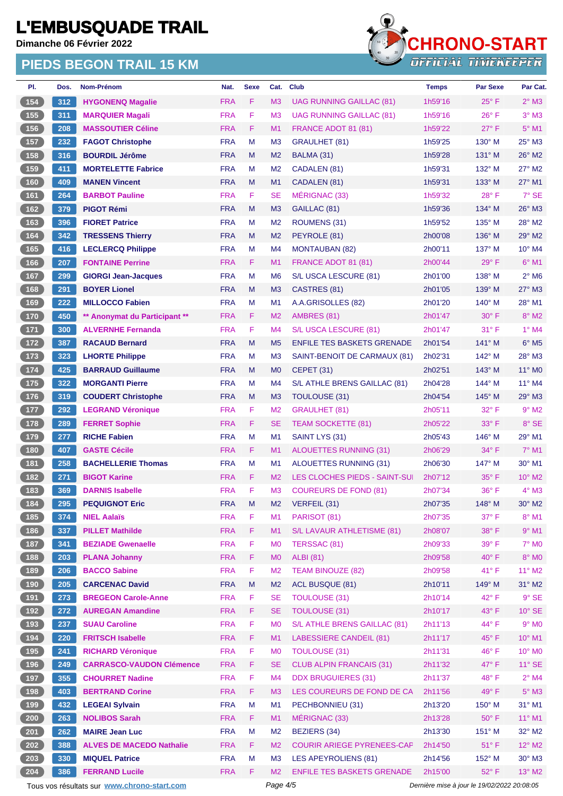**Dimanche 06 Février 2022**

#### **PIEDS BEGON TRAIL 15 KM**



| PI.                          | Dos. | Nom-Prénom                      | Nat.       | <b>Sexe</b> | Cat.           | <b>Club</b>                       | <b>Temps</b> | <b>Par Sexe</b> | Par Cat.                   |
|------------------------------|------|---------------------------------|------------|-------------|----------------|-----------------------------------|--------------|-----------------|----------------------------|
| 154                          | 312  | <b>HYGONENQ Magalie</b>         | <b>FRA</b> | F.          | M3             | <b>UAG RUNNING GAILLAC (81)</b>   | 1h59'16      | $25^{\circ}$ F  | $2^{\circ}$ M3             |
| 155                          | 311  | <b>MARQUIER Magali</b>          | <b>FRA</b> | F           | M <sub>3</sub> | <b>UAG RUNNING GAILLAC (81)</b>   | 1h59'16      | $26^{\circ}$ F  | $3^\circ$ M <sub>3</sub>   |
| 156                          | 208  | <b>MASSOUTIER Céline</b>        | <b>FRA</b> | F.          | M1             | FRANCE ADOT 81 (81)               | 1h59'22      | $27^\circ$ F    | $5^\circ$ M1               |
| $157$                        | 232  | <b>FAGOT Christophe</b>         | <b>FRA</b> | M           | M <sub>3</sub> | <b>GRAULHET (81)</b>              | 1h59'25      | $130^\circ$ M   | 25° M3                     |
| 158                          | 316  | <b>BOURDIL Jérôme</b>           | <b>FRA</b> | M           | M <sub>2</sub> | BALMA (31)                        | 1h59'28      | $131^\circ$ M   | $26^\circ$ M2              |
| 159                          | 411  | <b>MORTELETTE Fabrice</b>       | <b>FRA</b> | M           | M <sub>2</sub> | CADALEN (81)                      | 1h59'31      | 132° M          | $27^\circ$ M2              |
| 160                          | 409  | <b>MANEN Vincent</b>            | <b>FRA</b> | M           | M1             | CADALEN (81)                      | 1h59'31      | $133^\circ$ M   | $27^\circ$ M1              |
| 161                          | 264  | <b>BARBOT Pauline</b>           | <b>FRA</b> | F.          | SE             | MÉRIGNAC (33)                     | 1h59'32      | $28^{\circ}$ F  | $7^\circ$ SE               |
| 162                          | 379  | <b>PIGOT Rémi</b>               | <b>FRA</b> | M           | M <sub>3</sub> | GAILLAC (81)                      | 1h59'36      | 134° M          | 26° M3                     |
| 163                          | 396  | <b>FIORET Patrice</b>           | <b>FRA</b> | M           | M <sub>2</sub> | ROUMENS (31)                      | 1h59'52      | $135^\circ$ M   | 28° M2                     |
| 164                          | 342  | <b>TRESSENS Thierry</b>         | <b>FRA</b> | M           | M <sub>2</sub> | PEYROLE (81)                      | 2h00'08      | $136^\circ$ M   | $29^\circ$ M2              |
| 165                          | 416  | <b>LECLERCQ Philippe</b>        | <b>FRA</b> | M           | M4             | <b>MONTAUBAN (82)</b>             | 2h00'11      | 137° M          | 10° M4                     |
| 166                          | 207  | <b>FONTAINE Perrine</b>         | <b>FRA</b> | F.          | M1             | FRANCE ADOT 81 (81)               | 2h00'44      | $29°$ F         | $6^{\circ}$ M1             |
| 167                          | 299  | <b>GIORGI Jean-Jacques</b>      | <b>FRA</b> | M           | M <sub>6</sub> | S/L USCA LESCURE (81)             | 2h01'00      | $138^\circ$ M   | $2^{\circ}$ M <sub>6</sub> |
| 168                          | 291  | <b>BOYER Lionel</b>             | <b>FRA</b> | M           | M3             | CASTRES (81)                      | 2h01'05      | 139° M          | 27° M3                     |
| 169                          | 222  | <b>MILLOCCO Fabien</b>          | <b>FRA</b> | M           | M <sub>1</sub> | A.A.GRISOLLES (82)                | 2h01'20      | $140^\circ$ M   | $28^{\circ}$ M1            |
| 170                          | 450  | ** Anonymat du Participant **   | <b>FRA</b> | F.          | M <sub>2</sub> | AMBRES (81)                       | 2h01'47      | $30^\circ$ F    | $8^\circ$ M2               |
| $171$                        | 300  | <b>ALVERNHE Fernanda</b>        | <b>FRA</b> | F.          | M <sub>4</sub> | S/L USCA LESCURE (81)             | 2h01'47      | $31^\circ$ F    | $1°$ M4                    |
| $172$                        | 387  | <b>RACAUD Bernard</b>           | <b>FRA</b> | M           | M <sub>5</sub> | <b>ENFILE TES BASKETS GRENADE</b> | 2h01'54      | 141° M          | $6^{\circ}$ M <sub>5</sub> |
| 173                          | 323  | <b>LHORTE Philippe</b>          | <b>FRA</b> | M           | M <sub>3</sub> | SAINT-BENOIT DE CARMAUX (81)      | 2h02'31      | $142^\circ$ M   | 28° M3                     |
| $174$                        | 425  | <b>BARRAUD Guillaume</b>        | <b>FRA</b> | M           | M <sub>0</sub> | <b>CEPET (31)</b>                 | 2h02'51      | $143^\circ$ M   | 11° MO                     |
| $175$                        | 322  | <b>MORGANTI Pierre</b>          | <b>FRA</b> | М           | M4             | S/L ATHLE BRENS GAILLAC (81)      | 2h04'28      | 144° M          | 11° M4                     |
| $176$                        | 319  | <b>COUDERT Christophe</b>       | <b>FRA</b> | M           | M <sub>3</sub> | TOULOUSE (31)                     | 2h04'54      | $145^\circ$ M   | $29^\circ$ M3              |
| $177$                        | 292  | <b>LEGRAND Véronique</b>        | <b>FRA</b> | F           | M <sub>2</sub> | <b>GRAULHET (81)</b>              | 2h05'11      | $32^{\circ}$ F  | $9^\circ$ M2               |
| $178$                        | 289  | <b>FERRET Sophie</b>            | <b>FRA</b> | F.          | <b>SE</b>      | <b>TEAM SOCKETTE (81)</b>         | 2h05'22      | $33^\circ$ F    | 8° SE                      |
| 179                          | 277  | <b>RICHE Fabien</b>             | <b>FRA</b> | M           | M1             | SAINT LYS (31)                    | 2h05'43      | 146° M          | 29° M1                     |
| $180$                        | 407  | <b>GASTE Cécile</b>             | <b>FRA</b> | F.          | M <sub>1</sub> | <b>ALOUETTES RUNNING (31)</b>     | 2h06'29      | $34^{\circ}$ F  | $7^\circ$ M1               |
| 181                          | 258  | <b>BACHELLERIE Thomas</b>       | <b>FRA</b> | M           | M <sub>1</sub> | ALOUETTES RUNNING (31)            | 2h06'30      | 147° M          | 30° M1                     |
| 182                          | 271  | <b>BIGOT Karine</b>             | <b>FRA</b> | F           | M <sub>2</sub> | LES CLOCHES PIEDS - SAINT-SUI     | 2h07'12      | $35^{\circ}$ F  | $10^{\circ}$ M2            |
| 183                          | 369  | <b>DARNIS Isabelle</b>          | <b>FRA</b> | F           | M <sub>3</sub> | <b>COUREURS DE FOND (81)</b>      | 2h07'34      | $36^{\circ}$ F  | $4^\circ$ M3               |
| (184)                        | 295  | <b>PEQUIGNOT Eric</b>           | <b>FRA</b> | M           | M <sub>2</sub> | VERFEIL (31)                      | 2h07'35      | 148° M          | 30° M2                     |
| 185                          | 374  | <b>NIEL Aalaïs</b>              | <b>FRA</b> | F.          | M1             | PARISOT (81)                      | 2h07'35      | 37° F           | $8^\circ$ M1               |
| 186                          | 337  | <b>PILLET Mathilde</b>          | <b>FRA</b> | F.          | M <sub>1</sub> | S/L LAVAUR ATHLETISME (81)        | 2h08'07      | 38° F           | $9°$ M1                    |
| 187                          | 341  | <b>BEZIADE Gwenaelle</b>        | <b>FRA</b> | F           | M <sub>0</sub> | TERSSAC (81)                      | 2h09'33      | 39° F           | <b>7° MO</b>               |
| 188                          | 203  | <b>PLANA Johanny</b>            | <b>FRA</b> | F.          | <b>MO</b>      | <b>ALBI</b> (81)                  | 2h09'58      | $40^{\circ}$ F  | $8^\circ$ MO               |
| 189                          | 206  | <b>BACCO Sabine</b>             | <b>FRA</b> | F           | M <sub>2</sub> | <b>TEAM BINOUZE (82)</b>          | 2h09'58      | 41° F           | 11° M2                     |
| [190]                        | 205  | <b>CARCENAC David</b>           | <b>FRA</b> | M           | M <sub>2</sub> | ACL BUSQUE (81)                   | 2h10'11      | 149° M          | $31^\circ$ M2              |
| 191                          | 273  | <b>BREGEON Carole-Anne</b>      | <b>FRA</b> | F           | <b>SE</b>      | <b>TOULOUSE (31)</b>              | 2h10'14      | $42^{\circ}$ F  | $9°$ SE                    |
| 192                          | 272  | <b>AUREGAN Amandine</b>         | <b>FRA</b> | F.          | <b>SE</b>      | <b>TOULOUSE (31)</b>              | 2h10'17      | 43° F           | $10^{\circ}$ SE            |
| 193                          | 237  | <b>SUAU Caroline</b>            | <b>FRA</b> | F           | M <sub>0</sub> | S/L ATHLE BRENS GAILLAC (81)      | 2h11'13      | 44° F           | $9°$ MO                    |
| $\left( \frac{1}{2} \right)$ | 220  | <b>FRITSCH Isabelle</b>         | <b>FRA</b> | F.          | M1             | <b>LABESSIERE CANDEIL (81)</b>    | 2h11'17      | 45°F            | $10^{\circ}$ M1            |
| 195                          | 241  | <b>RICHARD Véronique</b>        | <b>FRA</b> | F.          | M <sub>0</sub> | <b>TOULOUSE (31)</b>              | 2h11'31      | 46°F            | 10° MO                     |
| 196                          | 249  | <b>CARRASCO-VAUDON Clémence</b> | <b>FRA</b> | F           | <b>SE</b>      | <b>CLUB ALPIN FRANCAIS (31)</b>   | 2h11'32      | $47^\circ$ F    | $11^{\circ}$ SE            |
| 197                          | 355  | <b>CHOURRET Nadine</b>          | <b>FRA</b> | F           | M4             | <b>DDX BRUGUIERES (31)</b>        | 2h11'37      | 48°F            | $2^{\circ}$ M4             |
| 198                          | 403  | <b>BERTRAND Corine</b>          | <b>FRA</b> | F           | M <sub>3</sub> | LES COUREURS DE FOND DE CA        | 2h11'56      | $49^\circ$ F    | $5^\circ$ M3               |
| 199                          | 432  | <b>LEGEAI Sylvain</b>           | <b>FRA</b> | M           | M1             | PECHBONNIEU (31)                  | 2h13'20      | 150° M          | 31° M1                     |
| 200                          | 263  | <b>NOLIBOS Sarah</b>            | <b>FRA</b> | F.          | M1             | MÉRIGNAC (33)                     | 2h13'28      | $50^\circ$ F    | $11^{\circ}$ M1            |
| 201                          | 262  | <b>MAIRE Jean Luc</b>           | <b>FRA</b> | M           | M <sub>2</sub> | BEZIERS (34)                      | 2h13'30      | $151^\circ$ M   | $32^\circ$ M2              |
| 202                          | 388  | <b>ALVES DE MACEDO Nathalie</b> | <b>FRA</b> | F.          | M <sub>2</sub> | <b>COURIR ARIEGE PYRENEES-CAF</b> | 2h14'50      | $51^{\circ}$ F  | $12^{\circ}$ M2            |
| 203                          | 330  | <b>MIQUEL Patrice</b>           | <b>FRA</b> | М           | M <sub>3</sub> | LES APEYROLIENS (81)              | 2h14'56      | 152° M          | 30° M3                     |
| 204                          | 386  | <b>FERRAND Lucile</b>           | <b>FRA</b> | F.          | M <sub>2</sub> | <b>ENFILE TES BASKETS GRENADE</b> | 2h15'00      | $52^{\circ}$ F  | $13^\circ$ M2              |

Tous vos résultats sur **[www.chrono-start.com](https://www.chrono-start.com/)** Page 4/5 Page 4/5 Dernière mise à jour le 19/02/2022 20:08:05